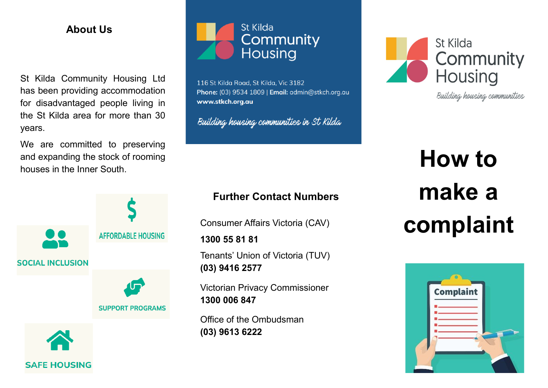# **About Us**

St Kilda Community Housing Ltd has been providing accommodation for disadvantaged people living in the St Kilda area for more than 30 years.

We are committed to preserving and expanding the stock of rooming houses in the Inner South.





116 St Kilda Road, St Kilda, Vic 3182 Phone: (03) 9534 1809 | Email: admin@stkch.org.au www.stkch.org.au

Building housing communities in St Kilda

# **Further Contact Numbers**

Consumer Affairs Victoria (CAV)

**1300 55 81 81**

Tenants' Union of Victoria (TUV) **(03) 9416 2577**

Victorian Privacy Commissioner **1300 006 847**

Office of the Ombudsman **(03) 9613 6222**



Building housing communities

# **How to make a complaint**